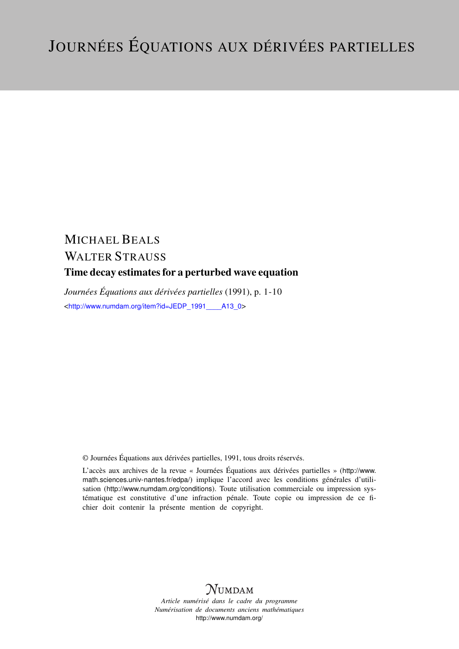# MICHAEL BEALS WALTER STRAUSS Time decay estimates for a perturbed wave equation

*Journées Équations aux dérivées partielles* (1991), p. 1-10 <[http://www.numdam.org/item?id=JEDP\\_1991\\_\\_\\_\\_A13\\_0](http://www.numdam.org/item?id=JEDP_1991____A13_0)>

© Journées Équations aux dérivées partielles, 1991, tous droits réservés.

L'accès aux archives de la revue « Journées Équations aux dérivées partielles » ([http://www.](http://www.math.sciences.univ-nantes.fr/edpa/) [math.sciences.univ-nantes.fr/edpa/](http://www.math.sciences.univ-nantes.fr/edpa/)) implique l'accord avec les conditions générales d'utilisation (<http://www.numdam.org/conditions>). Toute utilisation commerciale ou impression systématique est constitutive d'une infraction pénale. Toute copie ou impression de ce fichier doit contenir la présente mention de copyright.



*Article numérisé dans le cadre du programme Numérisation de documents anciens mathématiques* <http://www.numdam.org/>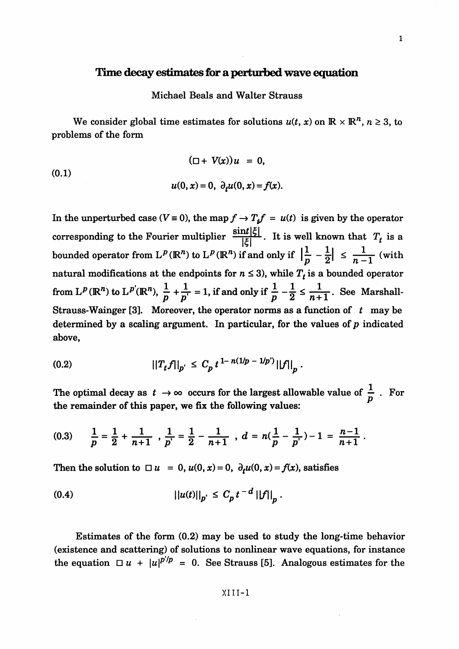## **Time decay estimates for a perturbed wave equation**

## Michael Beals and Walter Strauss

We consider global time estimates for solutions  $u(t, x)$  on  $\mathbb{R} \times \mathbb{R}^n$ ,  $n \geq 3$ , to problems of the form

(0.1)  

$$
(\Box + V(x))u = 0,
$$

$$
u(0, x) = 0, \ \partial_t u(0, x) = f(x).
$$

In the unperturbed case ( $V \equiv 0$ ), the map  $f \rightarrow T_f f = u(t)$  is given by the operator corresponding to the Fourier multiplier  $\frac{\sin t |\xi|}{|\xi|}$ . It is well known that  $T_t$  is a bounded operator from  $L^p(\mathbb{R}^n)$  to  $L^p(\mathbb{R}^n)$  if and only if  $\left|\frac{1}{p} - \frac{1}{2}\right| \leq \frac{1}{n-1}$  (with natural modifications at the endpoints for  $n \leq 3$ ), while  $T<sub>t</sub>$  is a bounded operator from  $L^p(\mathbb{R}^n)$  to  $L^{p'}(\mathbb{R}^n)$ ,  $\frac{1}{p} + \frac{1}{p'} = 1$ , if and only if  $\frac{1}{p}$  $\frac{1}{n}-\frac{1}{2}\leq \frac{1}{n+1}$ . See Marshall-Strauss-Wainger [3]. Moreover, the operator norms as a function of *t* may be determined by a scaling argument. In particular, for the values of  $p$  indicated above,

$$
(0.2) \t\t ||T_t f||_{p'} \leq C_p t^{1-n(1/p-1/p')} ||f||_p.
$$

The optimal decay as  $t \to \infty$  occurs for the largest allowable value of  $\frac{1}{p}$ . For the remainder of this paper, we fix the following values:

$$
(0.3) \qquad \frac{1}{p} = \frac{1}{2} + \frac{1}{n+1} \quad , \frac{1}{p'} = \frac{1}{2} - \frac{1}{n+1} \quad , \ d = n(\frac{1}{p} - \frac{1}{p'}) - 1 = \frac{n-1}{n+1} \ .
$$

Then the solution to  $\Box u = 0$ ,  $u(0, x) = 0$ ,  $\partial_t u(0, x) = f(x)$ , satisfies

$$
||u(t)||_{p'} \leq C_p t^{-d} ||f||_p.
$$

Estimates of the form (0.2) may be used to study the long-time behavior (existence and scattering) of solutions to nonlinear wave equations, for instance the equation  $\Box u + |u|^{p^2/p} = 0$ . See Strauss [5]. Analogous estimates for the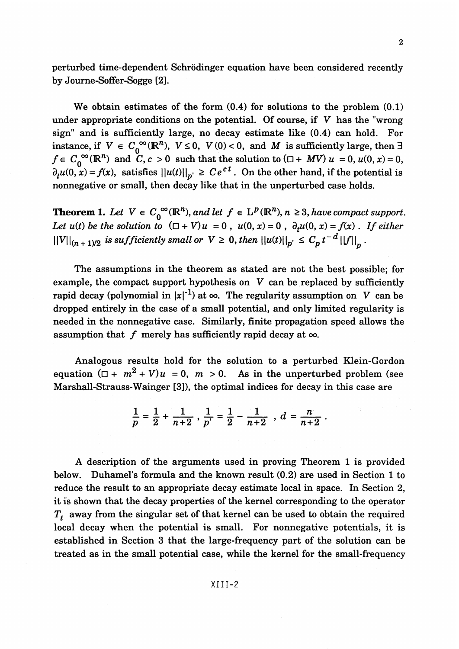perturbed time-dependent Schrodinger equation have been considered recently by Joume-Soffer-Sogge [2].

We obtain estimates of the form (0.4) for solutions to the problem (0.1) under appropriate conditions on the potential. Of course, if V has the "wrong sign" and is sufficiently large, no decay estimate like (0.4) can hold. For instance, if  $V \in C_0^{\infty}(\mathbb{R}^n)$ ,  $V \le 0$ ,  $V(0) < 0$ , and M is sufficiently large, then  $\exists$  $f \in C_0^{\infty}(\mathbb{R}^n)$  and  $C, c > 0$  such that the solution to  $(\Box + MV)$   $u = 0, u(0,x) = 0,$  $f \in C_0^{\infty}(\mathbb{R}^n)$  and  $C, c > 0$  such that the solution to  $(\Box + MV)$   $u = 0$ ,  $u(0, x) = 0$ ,  $\partial_t u(0, x) = f(x)$ , satisfies  $||u(t)||_{p'} \ge Ce^{ct}$ . On the other hand, if the potential is nonnegative or small, then decay like that in the unperturbed case holds.

**Theorem 1.** Let  $V \in C_0^{\infty}(\mathbb{R}^n)$ *, and let*  $f \in L^p(\mathbb{R}^n)$ *, n*  $\geq 3$ *, have compact support. Let u(t) be the solution to*  $(\Box + V)u = 0$ ,  $u(0, x) = 0$ ,  $\partial_t u(0, x) = f(x)$ . If either  $\|V\|_{(n+1)/2}$  *is sufficiently small or*  $V \geq 0$ , then  $\|u(t)\|_{p} \leq C_p t^{-d} \|f\|_{p}$ .

The assumptions in the theorem as stated are not the best possible; for example, the compact support hypothesis on *V* can be replaced by sufficiently rapid decay (polynomial in  $|x|^{-1}$ ) at  $\infty$ . The regularity assumption on *V* can be dropped entirely in the case of a small potential, and only limited regularity is needed in the nonnegative case. Similarly, finite propagation speed allows the assumption that  $f$  merely has sufficiently rapid decay at  $\infty$ .

Analogous results hold for the solution to a perturbed Klein-Gordon equation  $(D + m^2 + V)u = 0$ ,  $m > 0$ . As in the unperturbed problem (see Marshall-Strauss-Wainger [3]), the optimal indices for decay in this case are

$$
\frac{1}{p}=\frac{1}{2}+\frac{1}{n+2}, \frac{1}{p'}=\frac{1}{2}-\frac{1}{n+2}, d=\frac{n}{n+2}.
$$

A description of the arguments used in proving Theorem 1 is provided below. Duhamel's formula and the known result (0.2) are used in Section 1 to reduce the result to an appropriate decay estimate local in space. In Section 2, it is shown that the decay properties of the kernel corresponding to the operator *Tf* away from the singular set of that kernel can be used to obtain the required local decay when the potential is small. For nonnegative potentials, it is established in Section 3 that the large-frequency part of the solution can be treated as in the small potential case, while the kernel for the small-frequency

#### $XIII-2$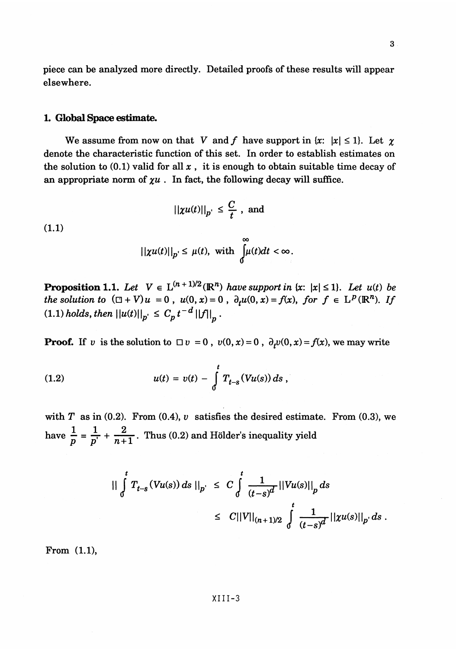piece can be analyzed more directly. Detailed proofs of these results will appear elsewhere.

## **1. Global Space estimate.**

We assume from now on that *V* and *f* have support in  $|x| \le 1$ . Let  $\gamma$ denote the characteristic function of this set. In order to establish estimates on the solution to  $(0.1)$  valid for all x, it is enough to obtain suitable time decay of an appropriate norm of  $\chi u$ . In fact, the following decay will suffice.

$$
||\chi u(t)||_{p'} \leq \frac{C}{t}, \text{ and}
$$

(1.1)

$$
||\chi u(t)||_p \leq \mu(t), \text{ with } \int_0^\infty \!\!\!\!\!\mu(t)dt < \infty.
$$

**Proposition 1.1.** Let  $V \in L^{(n+1)/2}(\mathbb{R}^n)$  have support in  $\{x: |x| \leq 1\}$ . Let  $u(t)$  be **Proposition 1.1.** Let  $V \in L^{(n+1)/2}(\mathbb{R}^n)$  have support in  $\{x: |x| \le 1\}$ . Let  $u(t)$  be the solution to  $(\Box + V)u = 0$ ,  $u(0, x) = 0$ ,  $\partial_t u(0, x) = f(x)$ , for  $f \in L^p(\mathbb{R}^n)$ . If  $(1.1)$  holds, then  $\|u(t)\|_{p'} \leq C_p t^{-d} \|f\|$ 

**Proof.** If v is the solution to  $\Box v = 0$ ,  $v(0, x) = 0$ ,  $\partial_x v(0, x) = f(x)$ , we may write

(1.2) 
$$
u(t) = v(t) - \int_{0}^{t} T_{t-s}(Vu(s)) ds,
$$

with  $T$  as in (0.2). From (0.4),  $v$  satisfies the desired estimate. From (0.3), we have  $\frac{1}{p} = \frac{1}{p'} + \frac{2}{n+1}$ . Thus (0.2) and Hölder's inequality yield

$$
\begin{aligned}\n\|\int_{0}^{t} T_{t-s}(Vu(s)) ds\|_{p'} &\leq C \int_{0}^{t} \frac{1}{(t-s)^{d}} ||Vu(s)||_{p} ds \\
&\leq C ||V||_{(n+1)/2} \int_{0}^{t} \frac{1}{(t-s)^{d}} ||\chi u(s)||_{p'} ds .\n\end{aligned}
$$

From (1.1),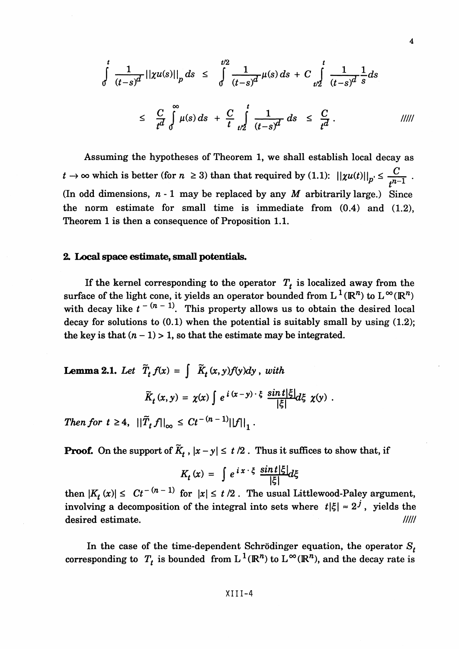$$
\int_{0}^{t} \frac{1}{(t-s)^{d}} ||\chi u(s)||_{p} ds \leq \int_{0}^{t/2} \frac{1}{(t-s)^{d}} \mu(s) ds + C \int_{t/2}^{t} \frac{1}{(t-s)^{d}} \frac{1}{s} ds
$$
\n
$$
\leq \frac{C}{t^{d}} \int_{0}^{\infty} \mu(s) ds + \frac{C}{t} \int_{t/2}^{t} \frac{1}{(t-s)^{d}} ds \leq \frac{C}{t^{d}}.
$$

Assuming the hypotheses of Theorem 1, we shall establish local decay as  $y \to t \to \infty$  which is better (for  $n \geq 3$ ) than that required by (1.1):  $||\chi u(t)||_{p'} \leq \frac{C}{||x-1||}$ . *L* (In odd dimensions, *n* -1 may be replaced by any *M* arbitrarily large.) Since the norm estimate for small time is immediate from  $(0.4)$  and  $(1.2)$ , Theorem 1 is then a consequence of Proposition 1.1.

#### **2. Local space estimate, small potentials.**

If the kernel corresponding to the operator  $T<sub>t</sub>$  is localized away from the surface of the light cone, it yields an operator bounded from  $L^1(\mathbb{R}^n)$  to  $L^\infty(\mathbb{R}^n)$ with decay like  $t^{-(n-1)}$ . This property allows us to obtain the desired local *rresponding to the operator*  $T_t$  is localized away from the one, it yields an operator bounded from  $L^1(\mathbb{R}^n)$  to  $L^\infty(\mathbb{R}^n)$ <br> $\lambda^{t-1}$ . This property allows us to obtain the desired local  $\alpha$  (0.1) when the po decay for solutions to  $(0.1)$  when the potential is suitably small by using  $(1.2)$ ; the key is that  $(n - 1) > 1$ , so that the estimate may be integrated.

**Lemma 2.1.** Let  $\widetilde{T}_t f(x) = \int \widetilde{K}_t(x,y)f(y)dy$ , with

$$
\widetilde{K}_t(x,y) = \chi(x) \int e^{i(x-y)\cdot\xi} \frac{\sin t |\xi|}{|\xi|} d\xi \chi(y) .
$$

*Then for*  $t \geq 4$ ,  $||\widetilde{T}_t f||_{\infty} \leq Ct^{-(n-1)}||f||_1$ .

**Proof.** On the support of  $\widetilde{K}$  ,  $|x - y| \le t/2$ . Thus it suffices to show that, if

$$
K_t(x) = \int e^{ix \cdot \xi} \frac{\sin t |\xi|}{|\xi|} d\xi
$$

then  $|K_t(x)| \leq Ct^{-(n-1)}$  for  $|x| \leq t/2$ . The usual Littlewood-Paley argument involving a decomposition of the integral into sets where  $|t|\xi| \approx 2^j$ , yields the desired estimate. /////

In the case of the time-dependent Schrödinger equation, the operator  $S^{\dagger}_t$ corresponding to  $T_t$  is bounded from  $L^1(\mathbb{R}^n)$  to  $L^\infty(\mathbb{R}^n)$ , and the decay rate is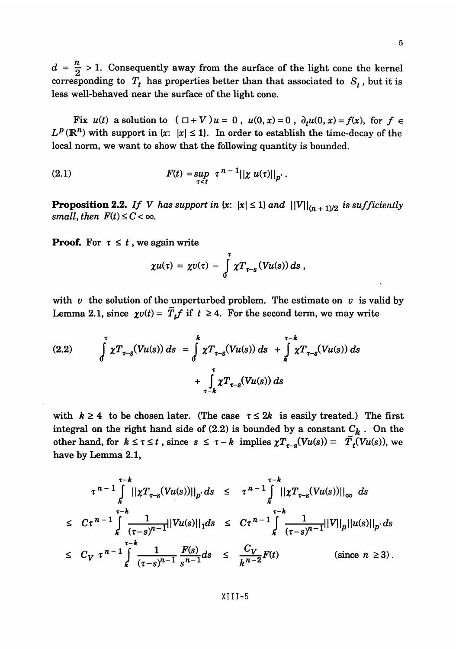$d = \frac{n}{2} > 1$ . Consequently away from the surface of the light cone the kernel corresponding to  $T<sub>t</sub>$  has properties better than that associated to  $S<sub>t</sub>$ , but it is less well-behaved near the surface of the light cone.

Fix  $u(t)$  a solution to  $(\Box + V)u = 0$ ,  $u(0, x) = 0$ ,  $\partial_t u(0, x) = f(x)$ , for  $f \in$  $L^p(\mathbb{R}^n)$  with support in  $\{x: |x|\leq 1\}$ . In order to establish the time-decay of the local norm, we want to show that the following quantity is bounded.

(2.1) 
$$
F(t) = \sup_{\tau < t} \tau^{n-1} ||\chi u(\tau)||_{p'}.
$$

**Proposition 2.2.** If V has support in  $\{x: |x| \leq 1\}$  and  $\|V\|_{(n+1)/2}$  is sufficiently *small, then*  $F(t) \leq C < \infty$ .

**Proof.** For  $\tau \leq t$ , we again write

$$
\chi u(\tau) = \chi v(\tau) - \int\limits_0^{\tau} \chi T_{\tau-s}(Vu(s)) ds,
$$

with  $v$  the solution of the unperturbed problem. The estimate on  $v$  is valid by Lemma 2.1, since  $\chi v(t) = \tilde{T}_t f$  if  $t \geq 4$ . For the second term, we may write

(2.2) 
$$
\int_{0}^{\tau} \chi T_{\tau-s}(Vu(s)) ds = \int_{0}^{k} \chi T_{\tau-s}(Vu(s)) ds + \int_{k}^{\tau-k} \chi T_{\tau-s}(Vu(s)) ds + \int_{\tau-k}^{\tau} \chi T_{\tau-s}(Vu(s)) ds
$$

with  $k \geq 4$  to be chosen later. (The case  $\tau \leq 2k$  is easily treated.) The first integral on the right hand side of  $(2.2)$  is bounded by a constant  $C_k$ . On the other hand, for  $k \le \tau \le t$ , since  $s \le \tau - k$  implies  $\chi T_{\tau-s}(Vu(s)) = \tilde{T}_t(Vu(s))$ , we have by Lemma 2.1,

$$
\tau^{n-1} \int_{k}^{\tau-k} ||\chi T_{\tau-s}(Vu(s))||_{p} ds \leq \tau^{n-1} \int_{k}^{\tau-k} ||\chi T_{\tau-s}(Vu(s))||_{\infty} ds
$$
  
\n
$$
\leq C\tau^{n-1} \int_{k}^{\tau-k} \frac{1}{(\tau-s)^{n-1}} ||Vu(s)||_{1} ds \leq C\tau^{n-1} \int_{k}^{\tau-k} \frac{1}{(\tau-s)^{n-1}} ||V||_{p} ||u(s)||_{p} ds
$$
  
\n
$$
\leq C_{V} \tau^{n-1} \int_{k}^{\tau-k} \frac{1}{(\tau-s)^{n-1}} \frac{F(s)}{s^{n-1}} ds \leq \frac{C_{V}}{k^{n-2}} F(t) \qquad (\text{since } n \geq 3).
$$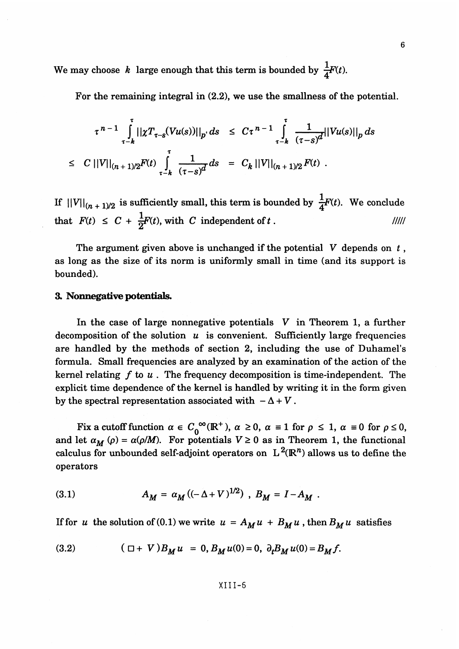We may choose *k* large enough that this term is bounded by  $\frac{1}{4}F(t)$ .

For the remaining integral in (2.2), we use the smallness of the potential.

$$
\tau^{n-1} \int_{\tau-k}^{\tau} ||\chi T_{\tau-s}(Vu(s))||_{p} ds \leq C\tau^{n-1} \int_{\tau-k}^{\tau} \frac{1}{(\tau-s)^{d}} ||Vu(s)||_{p} ds
$$
  

$$
\leq C ||V||_{(n+1)/2} F(t) \int_{\tau-k}^{\tau} \frac{1}{(\tau-s)^{d}} ds = C_{k} ||V||_{(n+1)/2} F(t).
$$

If  $||V||_{(n+1)/2}$  is sufficiently small, this term is bounded by  $\frac{1}{4}F(t)$ . We conclude that  $F(t) \leq C + \frac{1}{2}F(t)$ , with C independent of t. //////

The argument given above is unchanged if the potential  $V$  depends on  $t$ , as long as the size of its norm is uniformly small in time (and its support is bounded).

#### **3. Nonnegative potentials.**

In the case of large nonnegative potentials *V* in Theorem 1, a further decomposition of the solution *u* is convenient. Sufficiently large frequencies are handled by the methods of section 2, including the use of Duhamel's formula. Small frequencies are analyzed by an examination of the action of the kernel relating  $f$  to  $u$ . The frequency decomposition is time-independent. The explicit time dependence of the kernel is handled by writing it in the form given by the spectral representation associated with  $-\Delta + V$ .

Fix a cutoff function  $\alpha \in C_0^{\infty}(\mathbb{R}^+)$ ,  $\alpha \ge 0$ ,  $\alpha \equiv 1$  for  $\rho \le 1$ ,  $\alpha \equiv 0$  for  $\rho \le 0$ and let  $\alpha_M(p) = \alpha(p/M)$ . For potentials  $V \ge 0$  as in Theorem 1, the functional calculus for unbounded self-adjoint operators on  $L^2(\mathbb{R}^n)$  allows us to define the operators

(3.1) 
$$
A_M = \alpha_M ((-\Delta + V)^{1/2}), B_M = I - A_M.
$$

If for *u* the solution of (0.1) we write  $u = A_M u + B_M u$ , then  $B_M u$  satisfies

(3.2) 
$$
(\Box + V)B_M u = 0, B_M u(0) = 0, \ \partial_t B_M u(0) = B_M f.
$$

#### XIII-5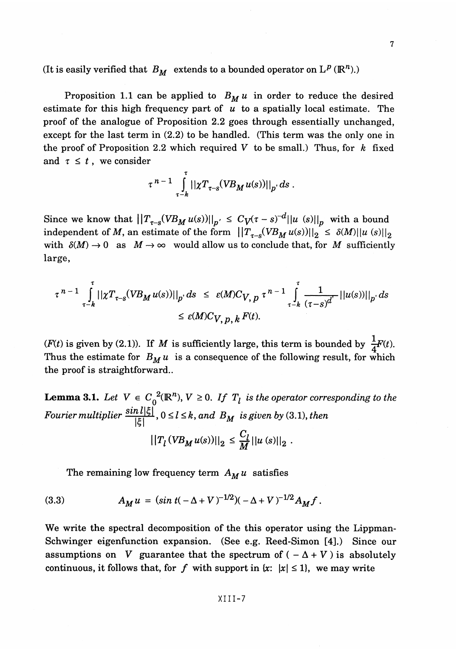(It is easily verified that  $B_M$  extends to a bounded operator on  $L^p$  ( $\mathbb{R}^n$ ).)

Proposition 1.1 can be applied to  $B_M u$  in order to reduce the desired estimate for this high frequency part of *u* to a spatially local estimate. The proof of the analogue of Proposition 2.2 goes through essentially unchanged, except for the last term in (2.2) to be handled. (This term was the only one in the proof of Proposition 2.2 which required *V* to be small.) Thus, for *k* fixed and  $\tau \leq t$ , we consider

$$
\tau^{n-1} \int_{\tau-k}^{\tau} ||\chi T_{\tau-s} (V B_M u(s))||_{p} ds
$$
.

Since we know that  $\left|\left|T_{\tau-s}(VB_M u(s))\right|\right|_{p'} \leq C_V (\tau-s)^{-d} ||u||_p$  with a bound independent of M, an estimate of the form  $||T_{\tau-s}(VB_M u(s))||_2 \le \delta(M)||u \sin \frac{1}{2}$ with  $\delta(M) \to 0$  as  $M \to \infty$  would allow us to conclude that, for M sufficiently large,

$$
\tau^{n-1} \int_{\tau-k}^{\tau} ||\chi T_{\tau-s} (V B_M u(s))||_{p'} ds \leq \varepsilon(M) C_{V, p} \tau^{n-1} \int_{\tau-k}^{\tau} \frac{1}{(\tau-s)^{d'}} ||u(s)||_{p'} ds
$$
  

$$
\leq \varepsilon(M) C_{V, p, k} F(t).
$$

*(F(t)* is given by (2.1)). If *M* is sufficiently large, this term is bounded by  $\frac{1}{4}F(t)$ . Thus the estimate for  $B_M u$  is a consequence of the following result, for which the proof is straightforward..

**Lemma 3.1.** Let  $V \in C_0^2(\mathbb{R}^n)$ ,  $V \ge 0$ . If  $T_l$  is the operator corresponding to the *Fourier multiplier*  $\frac{\sin l |\xi|}{|\xi|}$ ,  $0 \le l \le k$ , and  $B_M$  is given by (3.1), then

$$
||T_{l}(VB_{M}u(s))||_{2} \leq \frac{C_{l}}{M}||u(s)||_{2} .
$$

The remaining low frequency term  $A_M u$  satisfies

(3.3) 
$$
A_M u = (\sin t(-\Delta + V)^{-1/2})(-\Delta + V)^{-1/2}A_M f.
$$

We write the spectral decomposition of the this operator using the Lippman-Schwinger eigenfunction expansion. (See e.g. Reed-Simon [4].) Since our assumptions on *V* guarantee that the spectrum of  $(-\Delta + V)$  is absolutely continuous, it follows that, for f with support in  $\{x: |x|\leq 1\}$ , we may write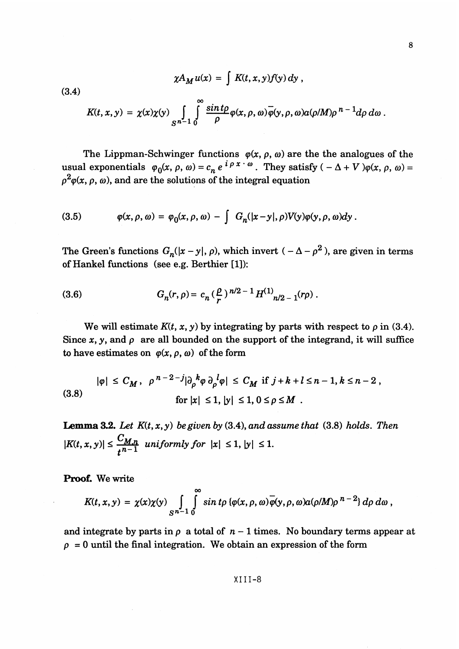$$
\chi A_M u(x) = \int K(t,x,y) f(y) dy,
$$

(3.4)

$$
K(t,x,y)=\chi(x)\chi(y)\int_{S^{n-1}}\int_{0}^{\infty}\frac{\sin t\rho}{\rho}\varphi(x,\rho,\omega)\overline{\varphi}(y,\rho,\omega)a(\rho/M)\rho^{n-1}d\rho d\omega.
$$

The Lippman-Schwinger functions  $\varphi(x, \rho, \omega)$  are the the analogues of the The Lippman-Schwinger functions  $\varphi(x, p, \omega)$  are the the analogues of the<br>usual exponentials  $\varphi_0(x, p, \omega) = c_n e^{i \rho x \cdot \omega}$ . They satisfy  $(-\Delta + V) \varphi(x, p, \omega) =$  $\rho^2\varphi(x, \rho, \omega)$ , and are the solutions of the integral equation

(3.5) 
$$
\varphi(x,\rho,\omega) = \varphi_0(x,\rho,\omega) - \int G_n(|x-y|,\rho)V(y)\varphi(y,\rho,\omega)dy.
$$

The Green's functions  $G_n(|x - y|, \rho)$ , which invert  $(-\Delta - \rho^2)$ , are given in terms of Hankel functions (see e.g. Berthier [1]):

(3.6) 
$$
G_n(r,\rho) = c_n \left(\frac{\rho}{r}\right)^{n/2-1} H^{(1)}_{n/2-1}(r\rho).
$$

We will estimate  $K(t, x, y)$  by integrating by parts with respect to  $\rho$  in (3.4). Since  $x$ ,  $y$ , and  $\rho$  are all bounded on the support of the integrand, it will suffice to have estimates on  $\varphi(x, \rho, \omega)$  of the form

$$
|\varphi| \le C_M, \quad \rho^{n-2-j} |\partial_{\rho}^k \varphi \partial_{\rho}^l \varphi| \le C_M \text{ if } j+k+l \le n-1, k \le n-2,
$$
  
(3.8) 
$$
\text{for } |x| \le 1, |y| \le 1, 0 \le \rho \le M.
$$

**Lemma 3.2.** *Let K(t,x,y) be given by* (3.4), *and assume that* (3.8) *holds. Then*  $|K(t, x, y)| \leq \frac{C_{M,n}}{n-1}$  uniformly for  $|x| \leq 1, |y| \leq 1$ .

**Proof.** We write

$$
K(t,x,y) = \chi(x)\chi(y) \int_{S^{n-1}} \int_0^{\infty} \sin t \rho \{\varphi(x,\rho,\omega)\overline{\varphi}(y,\rho,\omega) a(\rho/M)\rho^{n-2}\} d\rho d\omega,
$$

and integrate by parts in  $\rho$  a total of  $n-1$  times. No boundary terms appear at  $\rho = 0$  until the final integration. We obtain an expression of the form

# XIII-8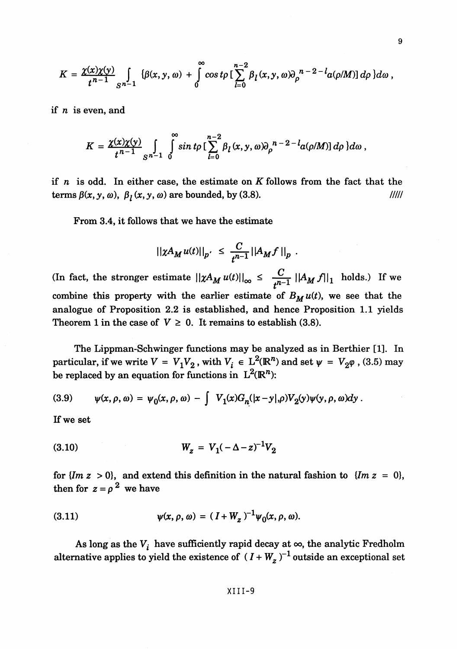$$
K = \frac{\chi(x)\chi(y)}{t^{n-1}} \int\limits_{S^{n-1}} {\{\beta(x,y,\omega) + \int\limits_{0}^{\infty}\cos t\rho \left[\sum\limits_{l=0}^{n-2} \beta_{l}(x,y,\omega)\partial_{\rho}^{n-2-l}a(\rho/M) \right] d\rho \}} d\omega,
$$

if  $n$  is even, and

$$
K=\frac{\chi(x)\chi(y)}{t^{n-1}}\int\limits_{S^{n-1}}^{\infty}\int\limits_{0}^{\infty}\sin t\rho\left[\sum\limits_{l=0}^{n-2}\beta_{l}(x,y,\omega)\partial_{\rho}^{n-2-l}a(\rho/M)\right]d\rho\}d\omega\ ,
$$

if  $n$  is odd. In either case, the estimate on  $K$  follows from the fact that the terms  $\beta(x, y, \omega)$ ,  $\beta_l(x, y, \omega)$  are bounded, by (3.8). //////

From 3.4, it follows that we have the estimate

$$
||\chi A_M u(t)||_{p'} \leq \frac{C}{t^{n-1}} ||A_M f||_{p} .
$$

(In fact, the stronger estimate  $||\chi A_M u(t)||_{\infty} \leq \frac{C}{n-1} ||A_M f||_1$  holds.) If we *t* combine this property with the earlier estimate of  $B_M u(t)$ , we see that the analogue of Proposition 2.2 is established, and hence Proposition 1.1 yields Theorem 1 in the case of  $V \geq 0$ . It remains to establish (3.8).

The Lippman-Schwinger functions may be analyzed as in Berthier [1]. In particular, if we write  $V = V_1 V_2$ , with  $V_i \in L^2(\mathbb{R}^n)$  and set  $\psi = V_2 \varphi$ , (3.5) may be replaced by an equation for functions in  $L^2(\mathbb{R}^n)$ :

(3.9) 
$$
\psi(x,\rho,\omega) = \psi_0(x,\rho,\omega) - \int V_1(x)G_n(|x-y|,\rho)V_2(y)\psi(y,\rho,\omega)dy.
$$

If we set

(3.10) 
$$
W_z = V_1(-\Delta - z)^{-1}V_2
$$

for  $\{Im\ z > 0\}$ , and extend this definition in the natural fashion to  $\{Im\ z = 0\}$ , then for  $z = \rho^2$  we have

(3.11) 
$$
\psi(x, \rho, \omega) = (I + W_z)^{-1} \psi_0(x, \rho, \omega).
$$

As long as the  $V^i$  have sufficiently rapid decay at  $\infty$ , the analytic Fredholm alternative applies to yield the existence of  $(I + W_z)^{-1}$  outside an exceptional set